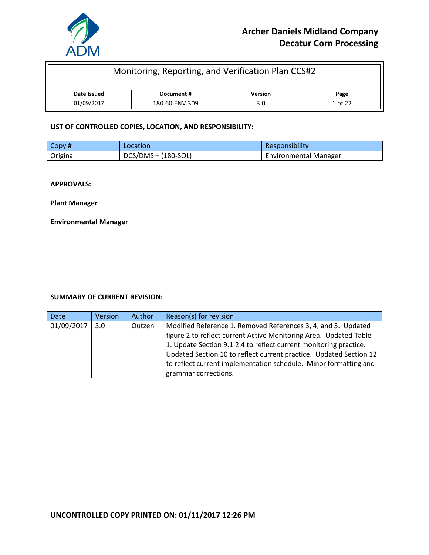

| Monitoring, Reporting, and Verification Plan CCS#2  |  |  |  |
|-----------------------------------------------------|--|--|--|
| <b>Version</b><br>Date Issued<br>Document #<br>Page |  |  |  |
| 01/09/2017<br>1 of 22<br>180.60.ENV.309<br>3.0      |  |  |  |

#### **LIST OF CONTROLLED COPIES, LOCATION, AND RESPONSIBILITY:**

| $\overline{\phantom{a}}$ Copy # | <b>Location</b>       | Responsibility               |
|---------------------------------|-----------------------|------------------------------|
| Original                        | $DCS/DMS - (180-SQL)$ | <b>Environmental Manager</b> |

**APPROVALS:**

**Plant Manager**

**Environmental Manager**

#### **SUMMARY OF CURRENT REVISION:**

| <b>Date</b> | Version          | Author | Reason(s) for revision                                                                                                                                                                                  |
|-------------|------------------|--------|---------------------------------------------------------------------------------------------------------------------------------------------------------------------------------------------------------|
| 01/09/2017  | 3.0 <sub>2</sub> | Outzen | Modified Reference 1. Removed References 3, 4, and 5. Updated<br>figure 2 to reflect current Active Monitoring Area. Updated Table<br>1. Update Section 9.1.2.4 to reflect current monitoring practice. |
|             |                  |        | Updated Section 10 to reflect current practice. Updated Section 12<br>to reflect current implementation schedule. Minor formatting and<br>grammar corrections.                                          |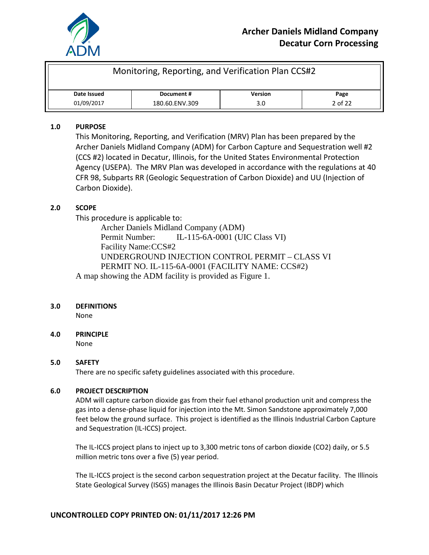

| Monitoring, Reporting, and Verification Plan CCS#2 |            |                |      |
|----------------------------------------------------|------------|----------------|------|
| Date Issued                                        | Document # | <b>Version</b> | Page |
| 01/09/2017<br>2 of 22<br>180.60.ENV.309<br>3.0     |            |                |      |

#### **1.0 PURPOSE**

This Monitoring, Reporting, and Verification (MRV) Plan has been prepared by the Archer Daniels Midland Company (ADM) for Carbon Capture and Sequestration well #2 (CCS #2) located in Decatur, Illinois, for the United States Environmental Protection Agency (USEPA). The MRV Plan was developed in accordance with the regulations at 40 CFR 98, Subparts RR (Geologic Sequestration of Carbon Dioxide) and UU (Injection of Carbon Dioxide).

## **2.0 SCOPE**

This procedure is applicable to:

Archer Daniels Midland Company (ADM) Permit Number: IL-115-6A-0001 (UIC Class VI) Facility Name:CCS#2 UNDERGROUND INJECTION CONTROL PERMIT – CLASS VI PERMIT NO. IL-115-6A-0001 (FACILITY NAME: CCS#2) A map showing the ADM facility is provided as Figure 1.

#### **3.0 DEFINITIONS**

None

## **4.0 PRINCIPLE**

None

## **5.0 SAFETY**

There are no specific safety guidelines associated with this procedure.

#### **6.0 PROJECT DESCRIPTION**

ADM will capture carbon dioxide gas from their fuel ethanol production unit and compress the gas into a dense-phase liquid for injection into the Mt. Simon Sandstone approximately 7,000 feet below the ground surface. This project is identified as the Illinois Industrial Carbon Capture and Sequestration (IL-ICCS) project.

The IL-ICCS project plans to inject up to 3,300 metric tons of carbon dioxide (CO2) daily, or 5.5 million metric tons over a five (5) year period.

The IL-ICCS project is the second carbon sequestration project at the Decatur facility. The Illinois State Geological Survey (ISGS) manages the Illinois Basin Decatur Project (IBDP) which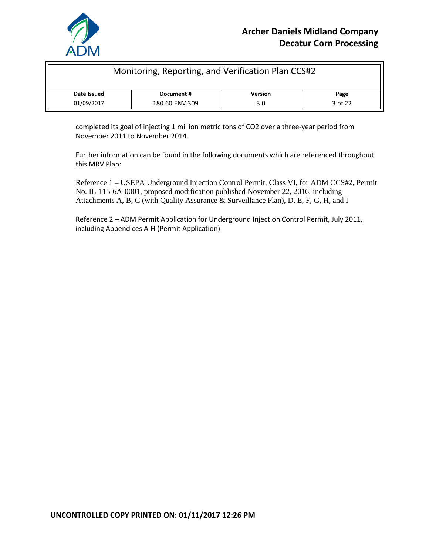

| Monitoring, Reporting, and Verification Plan CCS#2  |  |  |  |
|-----------------------------------------------------|--|--|--|
| <b>Version</b><br>Date Issued<br>Document #<br>Page |  |  |  |
| 3 of 22<br>01/09/2017<br>180.60.ENV.309<br>3.0      |  |  |  |

completed its goal of injecting 1 million metric tons of CO2 over a three-year period from November 2011 to November 2014.

Further information can be found in the following documents which are referenced throughout this MRV Plan:

Reference 1 – USEPA Underground Injection Control Permit, Class VI, for ADM CCS#2, Permit No. IL-115-6A-0001, proposed modification published November 22, 2016, including Attachments A, B, C (with Quality Assurance & Surveillance Plan), D, E, F, G, H, and I

Reference 2 – ADM Permit Application for Underground Injection Control Permit, July 2011, including Appendices A-H (Permit Application)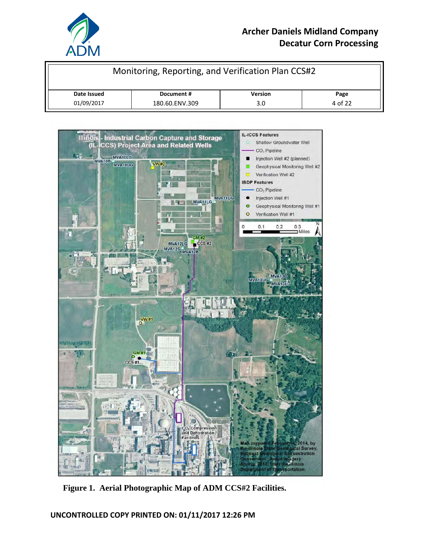

# **Archer Daniels Midland Company Decatur Corn Processing**

| Monitoring, Reporting, and Verification Plan CCS#2  |  |     |         |
|-----------------------------------------------------|--|-----|---------|
| <b>Version</b><br>Date Issued<br>Document #<br>Page |  |     |         |
| 01/09/2017<br>180.60.ENV.309                        |  | 3.0 | 4 of 22 |



**Figure 1. Aerial Photographic Map of ADM CCS#2 Facilities.**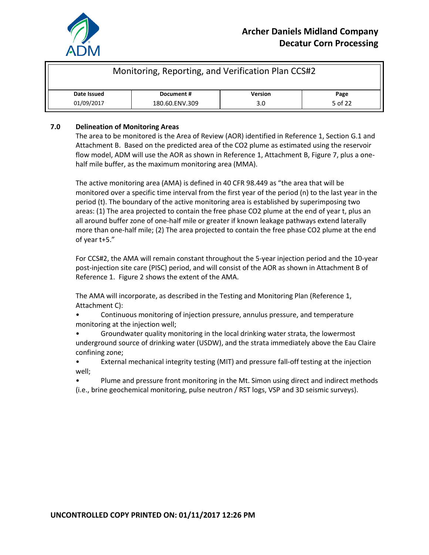

| Monitoring, Reporting, and Verification Plan CCS#2  |  |  |  |
|-----------------------------------------------------|--|--|--|
| <b>Version</b><br>Date Issued<br>Document #<br>Page |  |  |  |
| 01/09/2017<br>5 of 22<br>180.60.ENV.309<br>3.0      |  |  |  |

#### **7.0 Delineation of Monitoring Areas**

The area to be monitored is the Area of Review (AOR) identified in Reference 1, Section G.1 and Attachment B. Based on the predicted area of the CO2 plume as estimated using the reservoir flow model, ADM will use the AOR as shown in Reference 1, Attachment B, Figure 7, plus a onehalf mile buffer, as the maximum monitoring area (MMA).

The active monitoring area (AMA) is defined in 40 CFR 98.449 as "the area that will be monitored over a specific time interval from the first year of the period (n) to the last year in the period (t). The boundary of the active monitoring area is established by superimposing two areas: (1) The area projected to contain the free phase CO2 plume at the end of year t, plus an all around buffer zone of one-half mile or greater if known leakage pathways extend laterally more than one-half mile; (2) The area projected to contain the free phase CO2 plume at the end of year t+5."

For CCS#2, the AMA will remain constant throughout the 5-year injection period and the 10-year post-injection site care (PISC) period, and will consist of the AOR as shown in Attachment B of Reference 1. Figure 2 shows the extent of the AMA.

The AMA will incorporate, as described in the Testing and Monitoring Plan (Reference 1, Attachment C):

• Continuous monitoring of injection pressure, annulus pressure, and temperature monitoring at the injection well;

• Groundwater quality monitoring in the local drinking water strata, the lowermost underground source of drinking water (USDW), and the strata immediately above the Eau Claire confining zone;

• External mechanical integrity testing (MIT) and pressure fall-off testing at the injection well;

• Plume and pressure front monitoring in the Mt. Simon using direct and indirect methods (i.e., brine geochemical monitoring, pulse neutron / RST logs, VSP and 3D seismic surveys).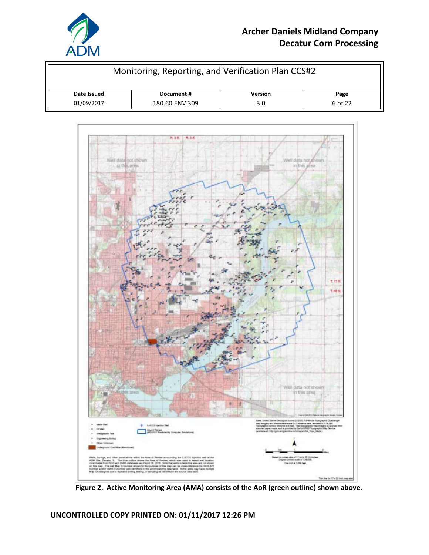

# **Archer Daniels Midland Company Decatur Corn Processing**

| Monitoring, Reporting, and Verification Plan CCS#2  |  |  |  |
|-----------------------------------------------------|--|--|--|
| <b>Version</b><br>Date Issued<br>Document #<br>Page |  |  |  |
| 01/09/2017<br>6 of 22<br>180.60.ENV.309<br>3.0      |  |  |  |



**Figure 2. Active Monitoring Area (AMA) consists of the AoR (green outline) shown above.**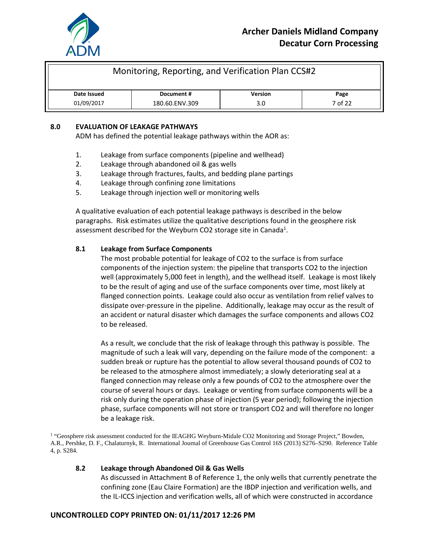

| Monitoring, Reporting, and Verification Plan CCS#2  |  |  |  |
|-----------------------------------------------------|--|--|--|
| <b>Version</b><br>Date Issued<br>Document #<br>Page |  |  |  |
| 01/09/2017<br>7 of 22<br>180.60.ENV.309<br>3.0      |  |  |  |

#### **8.0 EVALUATION OF LEAKAGE PATHWAYS**

ADM has defined the potential leakage pathways within the AOR as:

- 1. Leakage from surface components (pipeline and wellhead)
- 2. Leakage through abandoned oil & gas wells
- 3. Leakage through fractures, faults, and bedding plane partings
- 4. Leakage through confining zone limitations
- 5. Leakage through injection well or monitoring wells

A qualitative evaluation of each potential leakage pathways is described in the below paragraphs. Risk estimates utilize the qualitative descriptions found in the geosphere risk assessment described for the Weyburn CO2 storage site in Canada<sup>1</sup>.

#### **8.1 Leakage from Surface Components**

The most probable potential for leakage of CO2 to the surface is from surface components of the injection system: the pipeline that transports CO2 to the injection well (approximately 5,000 feet in length), and the wellhead itself. Leakage is most likely to be the result of aging and use of the surface components over time, most likely at flanged connection points. Leakage could also occur as ventilation from relief valves to dissipate over-pressure in the pipeline. Additionally, leakage may occur as the result of an accident or natural disaster which damages the surface components and allows CO2 to be released.

As a result, we conclude that the risk of leakage through this pathway is possible. The magnitude of such a leak will vary, depending on the failure mode of the component: a sudden break or rupture has the potential to allow several thousand pounds of CO2 to be released to the atmosphere almost immediately; a slowly deteriorating seal at a flanged connection may release only a few pounds of CO2 to the atmosphere over the course of several hours or days. Leakage or venting from surface components will be a risk only during the operation phase of injection (5 year period); following the injection phase, surface components will not store or transport CO2 and will therefore no longer be a leakage risk.

<sup>1</sup> "Geosphere risk assessment conducted for the IEAGHG Weyburn-Midale CO2 Monitoring and Storage Project," Bowden, A.R., Pershke, D. F., Chalaturnyk, R. International Journal of Greenhouse Gas Control 16S (2013) S276–S290. Reference Table 4, p. S284.

#### **8.2 Leakage through Abandoned Oil & Gas Wells**

As discussed in Attachment B of Reference 1, the only wells that currently penetrate the confining zone (Eau Claire Formation) are the IBDP injection and verification wells, and the IL-ICCS injection and verification wells, all of which were constructed in accordance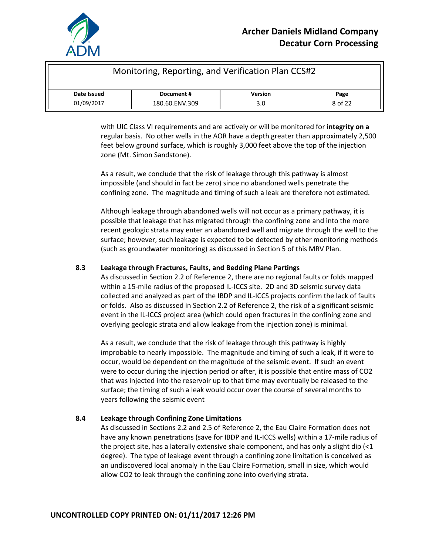

| Monitoring, Reporting, and Verification Plan CCS#2  |  |  |  |
|-----------------------------------------------------|--|--|--|
| <b>Version</b><br>Date Issued<br>Document #<br>Page |  |  |  |
| 01/09/2017<br>8 of 22<br>180.60.ENV.309<br>3.0      |  |  |  |

with UIC Class VI requirements and are actively or will be monitored for **integrity on a**  regular basis. No other wells in the AOR have a depth greater than approximately 2,500 feet below ground surface, which is roughly 3,000 feet above the top of the injection zone (Mt. Simon Sandstone).

As a result, we conclude that the risk of leakage through this pathway is almost impossible (and should in fact be zero) since no abandoned wells penetrate the confining zone. The magnitude and timing of such a leak are therefore not estimated.

Although leakage through abandoned wells will not occur as a primary pathway, it is possible that leakage that has migrated through the confining zone and into the more recent geologic strata may enter an abandoned well and migrate through the well to the surface; however, such leakage is expected to be detected by other monitoring methods (such as groundwater monitoring) as discussed in Section 5 of this MRV Plan.

#### **8.3 Leakage through Fractures, Faults, and Bedding Plane Partings**

As discussed in Section 2.2 of Reference 2, there are no regional faults or folds mapped within a 15-mile radius of the proposed IL-ICCS site. 2D and 3D seismic survey data collected and analyzed as part of the IBDP and IL-ICCS projects confirm the lack of faults or folds. Also as discussed in Section 2.2 of Reference 2, the risk of a significant seismic event in the IL-ICCS project area (which could open fractures in the confining zone and overlying geologic strata and allow leakage from the injection zone) is minimal.

As a result, we conclude that the risk of leakage through this pathway is highly improbable to nearly impossible. The magnitude and timing of such a leak, if it were to occur, would be dependent on the magnitude of the seismic event. If such an event were to occur during the injection period or after, it is possible that entire mass of CO2 that was injected into the reservoir up to that time may eventually be released to the surface; the timing of such a leak would occur over the course of several months to years following the seismic event

#### **8.4 Leakage through Confining Zone Limitations**

As discussed in Sections 2.2 and 2.5 of Reference 2, the Eau Claire Formation does not have any known penetrations (save for IBDP and IL-ICCS wells) within a 17-mile radius of the project site, has a laterally extensive shale component, and has only a slight dip  $\langle$ <1 degree). The type of leakage event through a confining zone limitation is conceived as an undiscovered local anomaly in the Eau Claire Formation, small in size, which would allow CO2 to leak through the confining zone into overlying strata.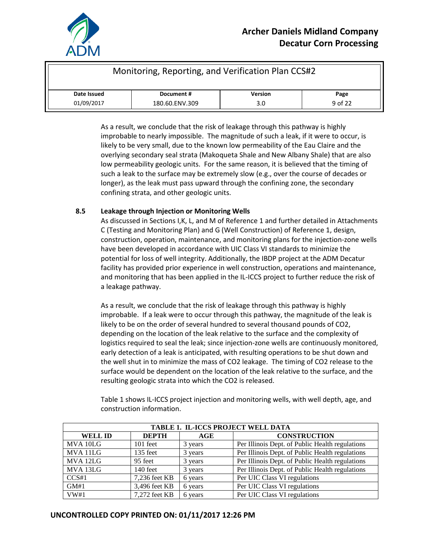

| Monitoring, Reporting, and Verification Plan CCS#2  |  |  |  |
|-----------------------------------------------------|--|--|--|
| <b>Version</b><br>Date Issued<br>Document #<br>Page |  |  |  |
| 01/09/2017<br>9 of 22<br>180.60.ENV.309<br>3.0      |  |  |  |

As a result, we conclude that the risk of leakage through this pathway is highly improbable to nearly impossible. The magnitude of such a leak, if it were to occur, is likely to be very small, due to the known low permeability of the Eau Claire and the overlying secondary seal strata (Makoqueta Shale and New Albany Shale) that are also low permeability geologic units. For the same reason, it is believed that the timing of such a leak to the surface may be extremely slow (e.g., over the course of decades or longer), as the leak must pass upward through the confining zone, the secondary confining strata, and other geologic units.

#### **8.5 Leakage through Injection or Monitoring Wells**

As discussed in Sections I,K, L, and M of Reference 1 and further detailed in Attachments C (Testing and Monitoring Plan) and G (Well Construction) of Reference 1, design, construction, operation, maintenance, and monitoring plans for the injection-zone wells have been developed in accordance with UIC Class VI standards to minimize the potential for loss of well integrity. Additionally, the IBDP project at the ADM Decatur facility has provided prior experience in well construction, operations and maintenance, and monitoring that has been applied in the IL-ICCS project to further reduce the risk of a leakage pathway.

As a result, we conclude that the risk of leakage through this pathway is highly improbable. If a leak were to occur through this pathway, the magnitude of the leak is likely to be on the order of several hundred to several thousand pounds of CO2, depending on the location of the leak relative to the surface and the complexity of logistics required to seal the leak; since injection-zone wells are continuously monitored, early detection of a leak is anticipated, with resulting operations to be shut down and the well shut in to minimize the mass of CO2 leakage. The timing of CO2 release to the surface would be dependent on the location of the leak relative to the surface, and the resulting geologic strata into which the CO2 is released.

| TABLE 1. IL-ICCS PROJECT WELL DATA |               |         |                                                 |
|------------------------------------|---------------|---------|-------------------------------------------------|
| <b>WELL ID</b>                     | <b>DEPTH</b>  | AGE     | <b>CONSTRUCTION</b>                             |
| MVA 10LG                           | $101$ feet    | 3 years | Per Illinois Dept. of Public Health regulations |
| MVA 11LG                           | 135 feet      | 3 years | Per Illinois Dept. of Public Health regulations |
| MVA 12LG                           | 95 feet       | 3 years | Per Illinois Dept. of Public Health regulations |
| MVA 13LG                           | 140 feet      | 3 years | Per Illinois Dept. of Public Health regulations |
| CCS#1                              | 7,236 feet KB | 6 years | Per UIC Class VI regulations                    |
| GM#1                               | 3,496 feet KB | 6 years | Per UIC Class VI regulations                    |
| VW#1                               | 7,272 feet KB | 6 years | Per UIC Class VI regulations                    |

Table 1 shows IL-ICCS project injection and monitoring wells, with well depth, age, and construction information.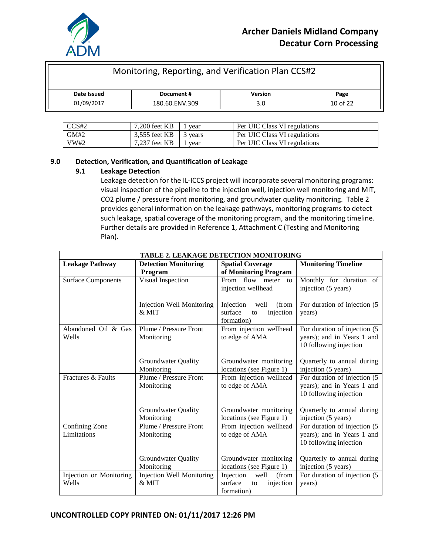

| Monitoring, Reporting, and Verification Plan CCS#2  |  |  |  |  |
|-----------------------------------------------------|--|--|--|--|
| <b>Version</b><br>Date Issued<br>Document #<br>Page |  |  |  |  |
| $10$ of 22<br>01/09/2017<br>180.60.ENV.309<br>3.0   |  |  |  |  |

| CCS#2 | 7.200 feet KB | vear  | Per UIC Class VI regulations |
|-------|---------------|-------|------------------------------|
| GM#2  | 3.555 feet KB | vears | Per UIC Class VI regulations |
| VW#2  | 7.237 feet KB | vear  | Per UIC Class VI regulations |

#### **9.0 Detection, Verification, and Quantification of Leakage**

#### **9.1 Leakage Detection**

Leakage detection for the IL-ICCS project will incorporate several monitoring programs: visual inspection of the pipeline to the injection well, injection well monitoring and MIT, CO2 plume / pressure front monitoring, and groundwater quality monitoring. Table 2 provides general information on the leakage pathways, monitoring programs to detect such leakage, spatial coverage of the monitoring program, and the monitoring timeline. Further details are provided in Reference 1, Attachment C (Testing and Monitoring Plan).

|                           | <b>TABLE 2. LEAKAGE DETECTION MONITORING</b> |                            |                               |  |
|---------------------------|----------------------------------------------|----------------------------|-------------------------------|--|
| <b>Leakage Pathway</b>    | <b>Detection Monitoring</b>                  | <b>Spatial Coverage</b>    | <b>Monitoring Timeline</b>    |  |
|                           | Program                                      | of Monitoring Program      |                               |  |
| <b>Surface Components</b> | Visual Inspection                            | From flow<br>meter<br>to   | Monthly for duration of       |  |
|                           |                                              | injection wellhead         | injection (5 years)           |  |
|                           |                                              |                            |                               |  |
|                           | <b>Injection Well Monitoring</b>             | Injection<br>well<br>(from | For duration of injection (5) |  |
|                           | $&$ MIT                                      | surface<br>injection<br>to | years)                        |  |
|                           |                                              | formation)                 |                               |  |
| Abandoned Oil & Gas       | Plume / Pressure Front                       | From injection wellhead    | For duration of injection (5  |  |
| Wells                     | Monitoring                                   | to edge of AMA             | years); and in Years 1 and    |  |
|                           |                                              |                            | 10 following injection        |  |
|                           |                                              |                            |                               |  |
|                           | <b>Groundwater Quality</b>                   | Groundwater monitoring     | Quarterly to annual during    |  |
|                           | Monitoring                                   | locations (see Figure 1)   | injection (5 years)           |  |
| Fractures & Faults        | Plume / Pressure Front                       | From injection wellhead    | For duration of injection (5  |  |
|                           | Monitoring                                   | to edge of AMA             | years); and in Years 1 and    |  |
|                           |                                              |                            | 10 following injection        |  |
|                           |                                              |                            |                               |  |
|                           | <b>Groundwater Quality</b>                   | Groundwater monitoring     | Quarterly to annual during    |  |
|                           | Monitoring                                   | locations (see Figure 1)   | injection (5 years)           |  |
| Confining Zone            | Plume / Pressure Front                       | From injection wellhead    | For duration of injection (5  |  |
| Limitations               | Monitoring                                   | to edge of AMA             | years); and in Years 1 and    |  |
|                           |                                              |                            | 10 following injection        |  |
|                           |                                              |                            |                               |  |
|                           | Groundwater Quality                          | Groundwater monitoring     | Quarterly to annual during    |  |
|                           | Monitoring                                   | locations (see Figure 1)   | injection (5 years)           |  |
| Injection or Monitoring   | <b>Injection Well Monitoring</b>             | Injection<br>well<br>(from | For duration of injection (5  |  |
| Wells                     | & MIT                                        | surface<br>injection<br>to | years)                        |  |
|                           |                                              | formation)                 |                               |  |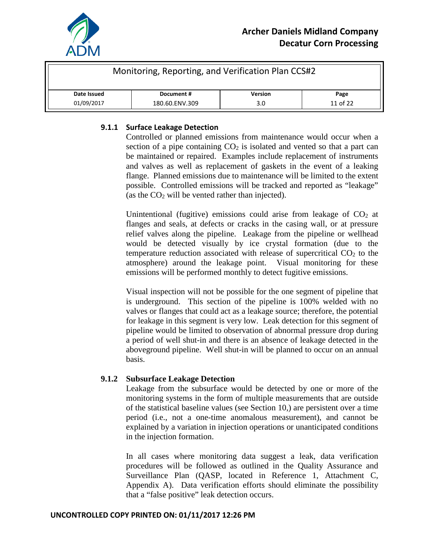

| Monitoring, Reporting, and Verification Plan CCS#2  |                                   |  |  |  |  |
|-----------------------------------------------------|-----------------------------------|--|--|--|--|
| <b>Version</b><br>Date Issued<br>Document #<br>Page |                                   |  |  |  |  |
| 01/09/2017                                          | 11 of 22<br>180.60.ENV.309<br>3.0 |  |  |  |  |

## **9.1.1 Surface Leakage Detection**

Controlled or planned emissions from maintenance would occur when a section of a pipe containing  $CO<sub>2</sub>$  is isolated and vented so that a part can be maintained or repaired. Examples include replacement of instruments and valves as well as replacement of gaskets in the event of a leaking flange. Planned emissions due to maintenance will be limited to the extent possible. Controlled emissions will be tracked and reported as "leakage" (as the  $CO<sub>2</sub>$  will be vented rather than injected).

Unintentional (fugitive) emissions could arise from leakage of  $CO<sub>2</sub>$  at flanges and seals, at defects or cracks in the casing wall, or at pressure relief valves along the pipeline. Leakage from the pipeline or wellhead would be detected visually by ice crystal formation (due to the temperature reduction associated with release of supercritical  $CO<sub>2</sub>$  to the atmosphere) around the leakage point. Visual monitoring for these emissions will be performed monthly to detect fugitive emissions.

Visual inspection will not be possible for the one segment of pipeline that is underground. This section of the pipeline is 100% welded with no valves or flanges that could act as a leakage source; therefore, the potential for leakage in this segment is very low. Leak detection for this segment of pipeline would be limited to observation of abnormal pressure drop during a period of well shut-in and there is an absence of leakage detected in the aboveground pipeline. Well shut-in will be planned to occur on an annual basis.

## **9.1.2 Subsurface Leakage Detection**

Leakage from the subsurface would be detected by one or more of the monitoring systems in the form of multiple measurements that are outside of the statistical baseline values (see Section 10,) are persistent over a time period (i.e., not a one-time anomalous measurement), and cannot be explained by a variation in injection operations or unanticipated conditions in the injection formation.

In all cases where monitoring data suggest a leak, data verification procedures will be followed as outlined in the Quality Assurance and Surveillance Plan (QASP, located in Reference 1, Attachment C, Appendix A). Data verification efforts should eliminate the possibility that a "false positive" leak detection occurs.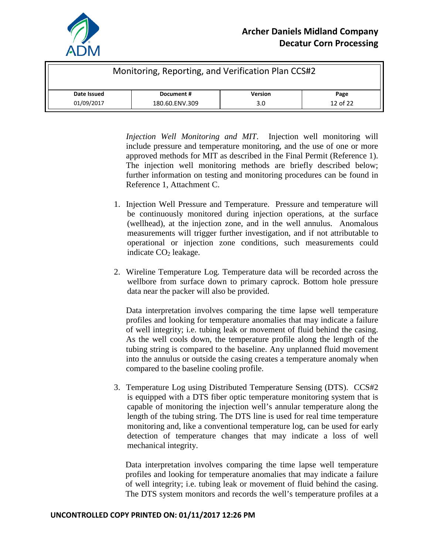

| Monitoring, Reporting, and Verification Plan CCS#2  |                                   |  |  |  |  |
|-----------------------------------------------------|-----------------------------------|--|--|--|--|
| <b>Version</b><br>Date Issued<br>Document #<br>Page |                                   |  |  |  |  |
| 01/09/2017                                          | 12 of 22<br>180.60.ENV.309<br>3.0 |  |  |  |  |

*Injection Well Monitoring and MIT*. Injection well monitoring will include pressure and temperature monitoring, and the use of one or more approved methods for MIT as described in the Final Permit (Reference 1). The injection well monitoring methods are briefly described below; further information on testing and monitoring procedures can be found in Reference 1, Attachment C.

- 1. Injection Well Pressure and Temperature. Pressure and temperature will be continuously monitored during injection operations, at the surface (wellhead), at the injection zone, and in the well annulus. Anomalous measurements will trigger further investigation, and if not attributable to operational or injection zone conditions, such measurements could indicate  $CO<sub>2</sub>$  leakage.
- 2. Wireline Temperature Log. Temperature data will be recorded across the wellbore from surface down to primary caprock. Bottom hole pressure data near the packer will also be provided.

Data interpretation involves comparing the time lapse well temperature profiles and looking for temperature anomalies that may indicate a failure of well integrity; i.e. tubing leak or movement of fluid behind the casing. As the well cools down, the temperature profile along the length of the tubing string is compared to the baseline. Any unplanned fluid movement into the annulus or outside the casing creates a temperature anomaly when compared to the baseline cooling profile.

3. Temperature Log using Distributed Temperature Sensing (DTS). CCS#2 is equipped with a DTS fiber optic temperature monitoring system that is capable of monitoring the injection well's annular temperature along the length of the tubing string. The DTS line is used for real time temperature monitoring and, like a conventional temperature log, can be used for early detection of temperature changes that may indicate a loss of well mechanical integrity.

Data interpretation involves comparing the time lapse well temperature profiles and looking for temperature anomalies that may indicate a failure of well integrity; i.e. tubing leak or movement of fluid behind the casing. The DTS system monitors and records the well's temperature profiles at a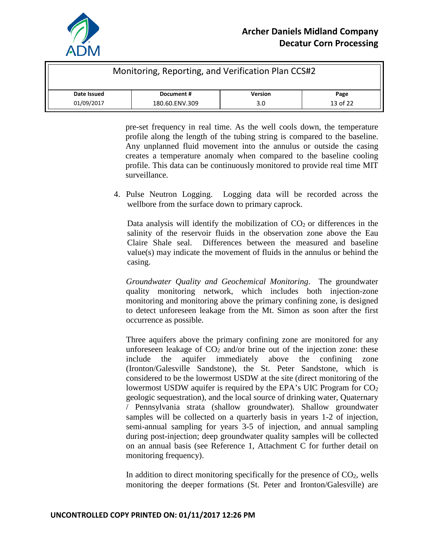

| Monitoring, Reporting, and Verification Plan CCS#2  |                                   |  |  |  |  |
|-----------------------------------------------------|-----------------------------------|--|--|--|--|
| <b>Version</b><br>Date Issued<br>Document #<br>Page |                                   |  |  |  |  |
| 01/09/2017                                          | 13 of 22<br>180.60.ENV.309<br>3.0 |  |  |  |  |

pre-set frequency in real time. As the well cools down, the temperature profile along the length of the tubing string is compared to the baseline. Any unplanned fluid movement into the annulus or outside the casing creates a temperature anomaly when compared to the baseline cooling profile. This data can be continuously monitored to provide real time MIT surveillance.

4. Pulse Neutron Logging. Logging data will be recorded across the wellbore from the surface down to primary caprock.

Data analysis will identify the mobilization of  $CO<sub>2</sub>$  or differences in the salinity of the reservoir fluids in the observation zone above the Eau Claire Shale seal. Differences between the measured and baseline value(s) may indicate the movement of fluids in the annulus or behind the casing.

*Groundwater Quality and Geochemical Monitoring*. The groundwater quality monitoring network, which includes both injection-zone monitoring and monitoring above the primary confining zone, is designed to detect unforeseen leakage from the Mt. Simon as soon after the first occurrence as possible.

Three aquifers above the primary confining zone are monitored for any unforeseen leakage of  $CO<sub>2</sub>$  and/or brine out of the injection zone: these include the aquifer immediately above the confining zone (Ironton/Galesville Sandstone), the St. Peter Sandstone, which is considered to be the lowermost USDW at the site (direct monitoring of the lowermost USDW aquifer is required by the EPA's UIC Program for  $CO<sub>2</sub>$ geologic sequestration), and the local source of drinking water, Quaternary / Pennsylvania strata (shallow groundwater). Shallow groundwater samples will be collected on a quarterly basis in years 1-2 of injection, semi-annual sampling for years 3-5 of injection, and annual sampling during post-injection; deep groundwater quality samples will be collected on an annual basis (see Reference 1, Attachment C for further detail on monitoring frequency).

In addition to direct monitoring specifically for the presence of  $CO<sub>2</sub>$ , wells monitoring the deeper formations (St. Peter and Ironton/Galesville) are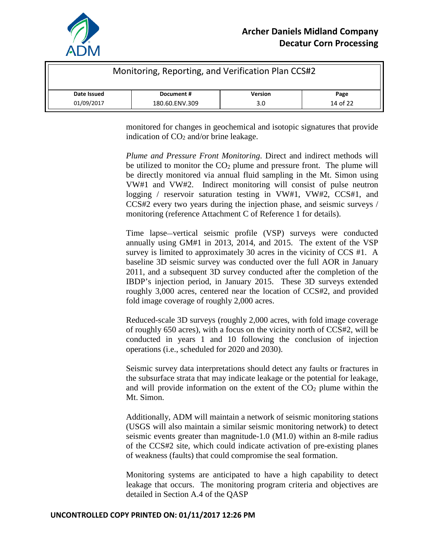

| Monitoring, Reporting, and Verification Plan CCS#2  |  |  |  |  |
|-----------------------------------------------------|--|--|--|--|
| <b>Version</b><br>Date Issued<br>Document #<br>Page |  |  |  |  |
| 14 of 22<br>01/09/2017<br>180.60.ENV.309<br>3.0     |  |  |  |  |

monitored for changes in geochemical and isotopic signatures that provide indication of  $CO<sub>2</sub>$  and/or brine leakage.

*Plume and Pressure Front Monitoring*. Direct and indirect methods will be utilized to monitor the  $CO<sub>2</sub>$  plume and pressure front. The plume will be directly monitored via annual fluid sampling in the Mt. Simon using VW#1 and VW#2. Indirect monitoring will consist of pulse neutron logging / reservoir saturation testing in VW#1, VW#2, CCS#1, and CCS#2 every two years during the injection phase, and seismic surveys / monitoring (reference Attachment C of Reference 1 for details).

Time lapse—vertical seismic profile (VSP) surveys were conducted annually using GM#1 in 2013, 2014, and 2015. The extent of the VSP survey is limited to approximately 30 acres in the vicinity of CCS #1. A baseline 3D seismic survey was conducted over the full AOR in January 2011, and a subsequent 3D survey conducted after the completion of the IBDP's injection period, in January 2015. These 3D surveys extended roughly 3,000 acres, centered near the location of CCS#2, and provided fold image coverage of roughly 2,000 acres.

Reduced-scale 3D surveys (roughly 2,000 acres, with fold image coverage of roughly 650 acres), with a focus on the vicinity north of CCS#2, will be conducted in years 1 and 10 following the conclusion of injection operations (i.e., scheduled for 2020 and 2030).

Seismic survey data interpretations should detect any faults or fractures in the subsurface strata that may indicate leakage or the potential for leakage, and will provide information on the extent of the  $CO<sub>2</sub>$  plume within the Mt. Simon.

Additionally, ADM will maintain a network of seismic monitoring stations (USGS will also maintain a similar seismic monitoring network) to detect seismic events greater than magnitude-1.0 (M1.0) within an 8-mile radius of the CCS#2 site, which could indicate activation of pre-existing planes of weakness (faults) that could compromise the seal formation.

Monitoring systems are anticipated to have a high capability to detect leakage that occurs. The monitoring program criteria and objectives are detailed in Section A.4 of the QASP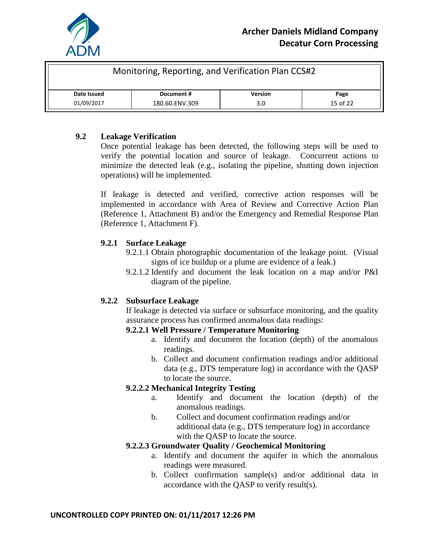

| Monitoring, Reporting, and Verification Plan CCS#2  |  |  |  |  |
|-----------------------------------------------------|--|--|--|--|
| <b>Version</b><br>Date Issued<br>Document #<br>Page |  |  |  |  |
| 15 of 22<br>01/09/2017<br>180.60.ENV.309<br>3.0     |  |  |  |  |

# **9.2 Leakage Verification**

Once potential leakage has been detected, the following steps will be used to verify the potential location and source of leakage. Concurrent actions to minimize the detected leak (e.g., isolating the pipeline, shutting down injection operations) will be implemented.

If leakage is detected and verified, corrective action responses will be implemented in accordance with Area of Review and Corrective Action Plan (Reference 1, Attachment B) and/or the Emergency and Remedial Response Plan (Reference 1, Attachment F).

## **9.2.1 Surface Leakage**

- 9.2.1.1 Obtain photographic documentation of the leakage point. (Visual signs of ice buildup or a plume are evidence of a leak.)
- 9.2.1.2 Identify and document the leak location on a map and/or P&I diagram of the pipeline.

# **9.2.2 Subsurface Leakage**

If leakage is detected via surface or subsurface monitoring, and the quality assurance process has confirmed anomalous data readings:

## **9.2.2.1 Well Pressure / Temperature Monitoring**

- a. Identify and document the location (depth) of the anomalous readings.
- b. Collect and document confirmation readings and/or additional data (e.g., DTS temperature log) in accordance with the QASP to locate the source.

## **9.2.2.2 Mechanical Integrity Testing**

- a. Identify and document the location (depth) of the anomalous readings.
- b. Collect and document confirmation readings and/or additional data (e.g., DTS temperature log) in accordance with the QASP to locate the source.

## **9.2.2.3 Groundwater Quality / Geochemical Monitoring**

- a. Identify and document the aquifer in which the anomalous readings were measured.
- b. Collect confirmation sample(s) and/or additional data in accordance with the QASP to verify result(s).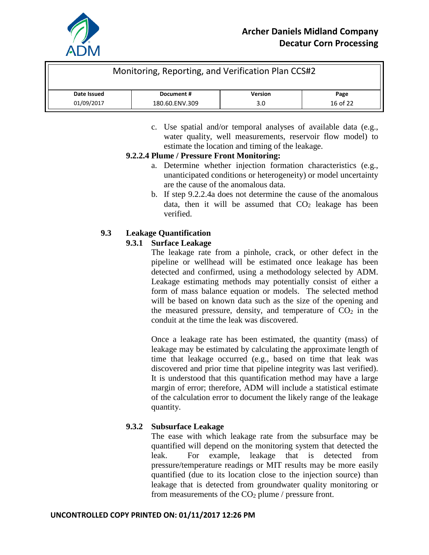

| Monitoring, Reporting, and Verification Plan CCS#2  |  |  |  |  |
|-----------------------------------------------------|--|--|--|--|
| <b>Version</b><br>Date Issued<br>Document #<br>Page |  |  |  |  |
| 16 of 22<br>01/09/2017<br>180.60.ENV.309<br>3.0     |  |  |  |  |

c. Use spatial and/or temporal analyses of available data (e.g., water quality, well measurements, reservoir flow model) to estimate the location and timing of the leakage.

# **9.2.2.4 Plume / Pressure Front Monitoring:**

- a. Determine whether injection formation characteristics (e.g., unanticipated conditions or heterogeneity) or model uncertainty are the cause of the anomalous data.
- b. If step 9.2.2.4a does not determine the cause of the anomalous data, then it will be assumed that  $CO<sub>2</sub>$  leakage has been verified.

# **9.3 Leakage Quantification**

# **9.3.1 Surface Leakage**

The leakage rate from a pinhole, crack, or other defect in the pipeline or wellhead will be estimated once leakage has been detected and confirmed, using a methodology selected by ADM. Leakage estimating methods may potentially consist of either a form of mass balance equation or models. The selected method will be based on known data such as the size of the opening and the measured pressure, density, and temperature of  $CO<sub>2</sub>$  in the conduit at the time the leak was discovered.

Once a leakage rate has been estimated, the quantity (mass) of leakage may be estimated by calculating the approximate length of time that leakage occurred (e.g., based on time that leak was discovered and prior time that pipeline integrity was last verified). It is understood that this quantification method may have a large margin of error; therefore, ADM will include a statistical estimate of the calculation error to document the likely range of the leakage quantity.

# **9.3.2 Subsurface Leakage**

The ease with which leakage rate from the subsurface may be quantified will depend on the monitoring system that detected the leak. For example, leakage that is detected from pressure/temperature readings or MIT results may be more easily quantified (due to its location close to the injection source) than leakage that is detected from groundwater quality monitoring or from measurements of the  $CO<sub>2</sub>$  plume / pressure front.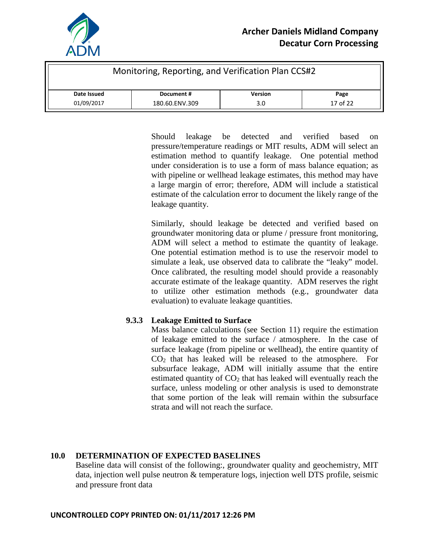

| Monitoring, Reporting, and Verification Plan CCS#2  |                                   |  |  |  |  |
|-----------------------------------------------------|-----------------------------------|--|--|--|--|
| <b>Version</b><br>Date Issued<br>Document #<br>Page |                                   |  |  |  |  |
| 01/09/2017                                          | 17 of 22<br>180.60.ENV.309<br>3.0 |  |  |  |  |

Should leakage be detected and verified based on pressure/temperature readings or MIT results, ADM will select an estimation method to quantify leakage. One potential method under consideration is to use a form of mass balance equation; as with pipeline or wellhead leakage estimates, this method may have a large margin of error; therefore, ADM will include a statistical estimate of the calculation error to document the likely range of the leakage quantity.

Similarly, should leakage be detected and verified based on groundwater monitoring data or plume / pressure front monitoring, ADM will select a method to estimate the quantity of leakage. One potential estimation method is to use the reservoir model to simulate a leak, use observed data to calibrate the "leaky" model. Once calibrated, the resulting model should provide a reasonably accurate estimate of the leakage quantity. ADM reserves the right to utilize other estimation methods (e.g., groundwater data evaluation) to evaluate leakage quantities.

# **9.3.3 Leakage Emitted to Surface**

Mass balance calculations (see Section 11) require the estimation of leakage emitted to the surface / atmosphere. In the case of surface leakage (from pipeline or wellhead), the entire quantity of  $CO<sub>2</sub>$  that has leaked will be released to the atmosphere. For subsurface leakage, ADM will initially assume that the entire estimated quantity of  $CO<sub>2</sub>$  that has leaked will eventually reach the surface, unless modeling or other analysis is used to demonstrate that some portion of the leak will remain within the subsurface strata and will not reach the surface.

# **10.0 DETERMINATION OF EXPECTED BASELINES**

Baseline data will consist of the following:, groundwater quality and geochemistry, MIT data, injection well pulse neutron & temperature logs, injection well DTS profile, seismic and pressure front data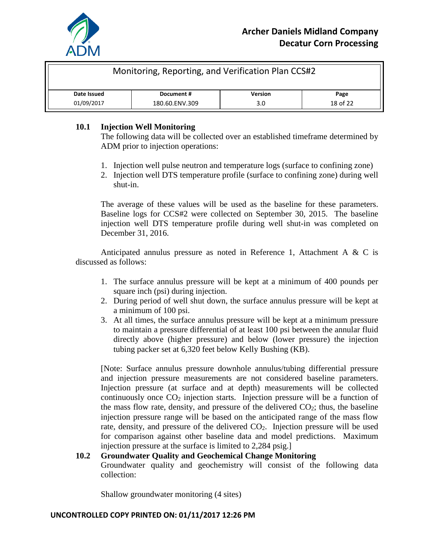

| Monitoring, Reporting, and Verification Plan CCS#2  |                                   |  |  |  |  |
|-----------------------------------------------------|-----------------------------------|--|--|--|--|
| <b>Version</b><br>Date Issued<br>Document #<br>Page |                                   |  |  |  |  |
| 01/09/2017                                          | 18 of 22<br>180.60.ENV.309<br>3.0 |  |  |  |  |

## **10.1 Injection Well Monitoring**

The following data will be collected over an established timeframe determined by ADM prior to injection operations:

- 1. Injection well pulse neutron and temperature logs (surface to confining zone)
- 2. Injection well DTS temperature profile (surface to confining zone) during well shut-in.

The average of these values will be used as the baseline for these parameters. Baseline logs for CCS#2 were collected on September 30, 2015. The baseline injection well DTS temperature profile during well shut-in was completed on December 31, 2016.

Anticipated annulus pressure as noted in Reference 1, Attachment A & C is discussed as follows:

- 1. The surface annulus pressure will be kept at a minimum of 400 pounds per square inch (psi) during injection.
- 2. During period of well shut down, the surface annulus pressure will be kept at a minimum of 100 psi.
- 3. At all times, the surface annulus pressure will be kept at a minimum pressure to maintain a pressure differential of at least 100 psi between the annular fluid directly above (higher pressure) and below (lower pressure) the injection tubing packer set at 6,320 feet below Kelly Bushing (KB).

[Note: Surface annulus pressure downhole annulus/tubing differential pressure and injection pressure measurements are not considered baseline parameters. Injection pressure (at surface and at depth) measurements will be collected continuously once  $CO<sub>2</sub>$  injection starts. Injection pressure will be a function of the mass flow rate, density, and pressure of the delivered  $CO<sub>2</sub>$ ; thus, the baseline injection pressure range will be based on the anticipated range of the mass flow rate, density, and pressure of the delivered CO2. Injection pressure will be used for comparison against other baseline data and model predictions. Maximum injection pressure at the surface is limited to 2,284 psig.]

## **10.2 Groundwater Quality and Geochemical Change Monitoring**

Groundwater quality and geochemistry will consist of the following data collection:

Shallow groundwater monitoring (4 sites)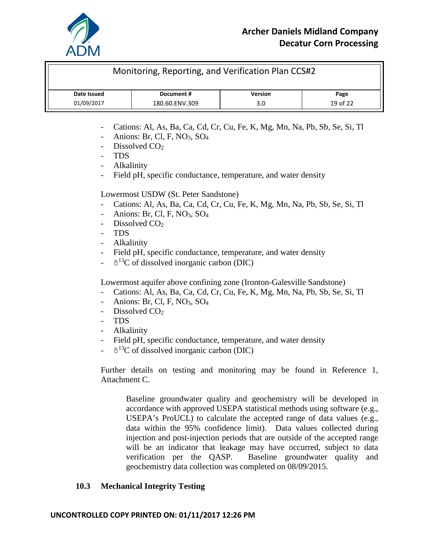

| Monitoring, Reporting, and Verification Plan CCS#2  |                                   |  |  |  |  |
|-----------------------------------------------------|-----------------------------------|--|--|--|--|
| <b>Version</b><br>Date Issued<br>Document #<br>Page |                                   |  |  |  |  |
| 01/09/2017                                          | 19 of 22<br>180.60.ENV.309<br>3.0 |  |  |  |  |

- Cations: Al, As, Ba, Ca, Cd, Cr, Cu, Fe, K, Mg, Mn, Na, Pb, Sb, Se, Si, Tl
- Anions: Br, Cl, F, NO<sub>3</sub>, SO<sub>4</sub>
- Dissolved  $CO<sub>2</sub>$
- TDS
- Alkalinity
- Field pH, specific conductance, temperature, and water density

Lowermost USDW (St. Peter Sandstone)

- Cations: Al, As, Ba, Ca, Cd, Cr, Cu, Fe, K, Mg, Mn, Na, Pb, Sb, Se, Si, Tl
- Anions: Br, Cl, F,  $NO<sub>3</sub>$ ,  $SO<sub>4</sub>$
- Dissolved CO<sub>2</sub>
- TDS
- Alkalinity
- Field pH, specific conductance, temperature, and water density
- $\delta^{13}$ C of dissolved inorganic carbon (DIC)

Lowermost aquifer above confining zone (Ironton-Galesville Sandstone)

- Cations: Al, As, Ba, Ca, Cd, Cr, Cu, Fe, K, Mg, Mn, Na, Pb, Sb, Se, Si, Tl
- Anions: Br, Cl, F,  $NO<sub>3</sub>$ ,  $SO<sub>4</sub>$
- Dissolved  $CO<sub>2</sub>$
- TDS
- Alkalinity
- Field pH, specific conductance, temperature, and water density
- $\delta^{13}$ C of dissolved inorganic carbon (DIC)

Further details on testing and monitoring may be found in Reference 1, Attachment C.

Baseline groundwater quality and geochemistry will be developed in accordance with approved USEPA statistical methods using software (e.g., USEPA's ProUCL) to calculate the accepted range of data values (e.g., data within the 95% confidence limit). Data values collected during injection and post-injection periods that are outside of the accepted range will be an indicator that leakage may have occurred, subject to data verification per the QASP. Baseline groundwater quality and geochemistry data collection was completed on 08/09/2015.

## **10.3 Mechanical Integrity Testing**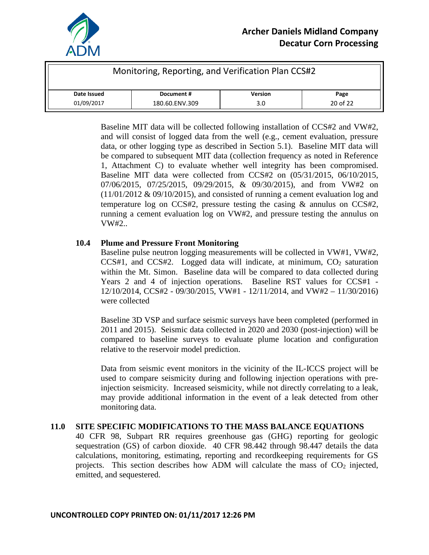

| Monitoring, Reporting, and Verification Plan CCS#2 |                |  |                |          |  |
|----------------------------------------------------|----------------|--|----------------|----------|--|
| Date Issued                                        | Document #     |  | <b>Version</b> | Page     |  |
| 01/09/2017                                         | 180.60.ENV.309 |  | 3.0            | 20 of 22 |  |

Baseline MIT data will be collected following installation of CCS#2 and VW#2, and will consist of logged data from the well (e.g., cement evaluation, pressure data, or other logging type as described in Section 5.1). Baseline MIT data will be compared to subsequent MIT data (collection frequency as noted in Reference 1, Attachment C) to evaluate whether well integrity has been compromised. Baseline MIT data were collected from CCS#2 on (05/31/2015, 06/10/2015, 07/06/2015, 07/25/2015, 09/29/2015, & 09/30/2015), and from VW#2 on  $(11/01/2012 \& 09/10/2015)$ , and consisted of running a cement evaluation log and temperature log on CCS#2, pressure testing the casing & annulus on CCS#2, running a cement evaluation log on VW#2, and pressure testing the annulus on VW#2..

#### **10.4 Plume and Pressure Front Monitoring**

Baseline pulse neutron logging measurements will be collected in VW#1, VW#2,  $CCS#1$ , and  $CCS#2$ . Logged data will indicate, at minimum,  $CO<sub>2</sub>$  saturation within the Mt. Simon. Baseline data will be compared to data collected during Years 2 and 4 of injection operations. Baseline RST values for CCS#1 - 12/10/2014, CCS#2 - 09/30/2015, VW#1 - 12/11/2014, and VW#2 – 11/30/2016) were collected

Baseline 3D VSP and surface seismic surveys have been completed (performed in 2011 and 2015). Seismic data collected in 2020 and 2030 (post-injection) will be compared to baseline surveys to evaluate plume location and configuration relative to the reservoir model prediction.

Data from seismic event monitors in the vicinity of the IL-ICCS project will be used to compare seismicity during and following injection operations with preinjection seismicity. Increased seismicity, while not directly correlating to a leak, may provide additional information in the event of a leak detected from other monitoring data.

## **11.0 SITE SPECIFIC MODIFICATIONS TO THE MASS BALANCE EQUATIONS**

40 CFR 98, Subpart RR requires greenhouse gas (GHG) reporting for geologic sequestration (GS) of carbon dioxide. 40 CFR 98.442 through 98.447 details the data calculations, monitoring, estimating, reporting and recordkeeping requirements for GS projects. This section describes how ADM will calculate the mass of  $CO<sub>2</sub>$  injected, emitted, and sequestered.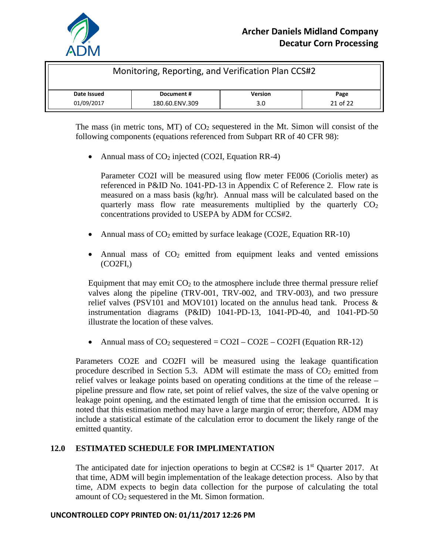

| Monitoring, Reporting, and Verification Plan CCS#2 |                |                |          |  |  |
|----------------------------------------------------|----------------|----------------|----------|--|--|
| Date Issued<br>Document #                          |                | <b>Version</b> | Page     |  |  |
| 01/09/2017                                         | 180.60.ENV.309 | 3.0            | 21 of 22 |  |  |

The mass (in metric tons, MT) of  $CO<sub>2</sub>$  sequestered in the Mt. Simon will consist of the following components (equations referenced from Subpart RR of 40 CFR 98):

• Annual mass of  $CO<sub>2</sub>$  injected (CO2I, Equation RR-4)

Parameter CO2I will be measured using flow meter FE006 (Coriolis meter) as referenced in P&ID No. 1041-PD-13 in Appendix C of Reference 2. Flow rate is measured on a mass basis (kg/hr). Annual mass will be calculated based on the quarterly mass flow rate measurements multiplied by the quarterly  $CO<sub>2</sub>$ concentrations provided to USEPA by ADM for CCS#2.

- Annual mass of  $CO<sub>2</sub>$  emitted by surface leakage (CO2E, Equation RR-10)
- Annual mass of  $CO<sub>2</sub>$  emitted from equipment leaks and vented emissions  $(CO2FI)$

Equipment that may emit  $CO<sub>2</sub>$  to the atmosphere include three thermal pressure relief valves along the pipeline (TRV-001, TRV-002, and TRV-003), and two pressure relief valves (PSV101 and MOV101) located on the annulus head tank. Process & instrumentation diagrams (P&ID) 1041-PD-13, 1041-PD-40, and 1041-PD-50 illustrate the location of these valves.

• Annual mass of  $CO_2$  sequestered =  $CO2I - CO2E - CO2FI$  (Equation RR-12)

Parameters CO2E and CO2FI will be measured using the leakage quantification procedure described in Section 5.3. ADM will estimate the mass of  $CO<sub>2</sub>$  emitted from relief valves or leakage points based on operating conditions at the time of the release – pipeline pressure and flow rate, set point of relief valves, the size of the valve opening or leakage point opening, and the estimated length of time that the emission occurred. It is noted that this estimation method may have a large margin of error; therefore, ADM may include a statistical estimate of the calculation error to document the likely range of the emitted quantity.

## **12.0 ESTIMATED SCHEDULE FOR IMPLIMENTATION**

The anticipated date for injection operations to begin at  $CCS#2$  is  $1<sup>st</sup>$  Quarter 2017. At that time, ADM will begin implementation of the leakage detection process. Also by that time, ADM expects to begin data collection for the purpose of calculating the total amount of  $CO<sub>2</sub>$  sequestered in the Mt. Simon formation.